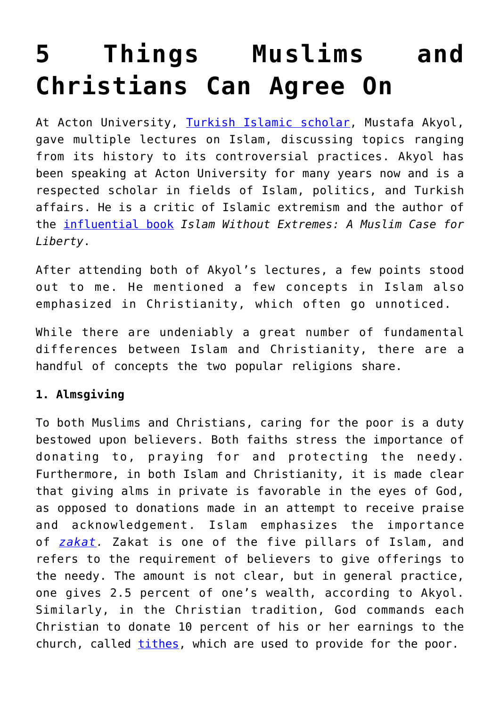# **[5 Things Muslims and](https://intellectualtakeout.org/2018/07/5-things-muslims-and-christians-can-agree-on/) [Christians Can Agree On](https://intellectualtakeout.org/2018/07/5-things-muslims-and-christians-can-agree-on/)**

At Acton University, [Turkish Islamic scholar,](https://www.mustafaakyol.org/) Mustafa Akyol, gave multiple lectures on Islam, discussing topics ranging from its history to its controversial practices. Akyol has been speaking at Acton University for many years now and is a respected scholar in fields of Islam, politics, and Turkish affairs. He is a critic of Islamic extremism and the author of the [influential book](http://a-fwd.com/asin-com=0393347249&sc=w) *Islam Without Extremes: A Muslim Case for Liberty*.

After attending both of Akyol's lectures, a few points stood out to me. He mentioned a few concepts in Islam also emphasized in Christianity, which often go unnoticed.

While there are undeniably a great number of fundamental differences between Islam and Christianity, there are a handful of concepts the two popular religions share.

# **1. Almsgiving**

To both Muslims and Christians, caring for the poor is a duty bestowed upon believers. Both faiths stress the importance of donating to, praying for and protecting the needy. Furthermore, in both Islam and Christianity, it is made clear that giving alms in private is favorable in the eyes of God, as opposed to donations made in an attempt to receive praise and acknowledgement. Islam emphasizes the importance of *[zakat.](https://www.islamichelp.org.uk/zakat/)* Zakat is one of the five pillars of Islam, and refers to the requirement of believers to give offerings to the needy. The amount is not clear, but in general practice, one gives 2.5 percent of one's wealth, according to Akyol. Similarly, in the Christian tradition, God commands each Christian to donate 10 percent of his or her earnings to the church, called [tithes](https://www.thegospelcoalition.org/article/7-reasons-christians-not-required-to-tithe/), which are used to provide for the poor.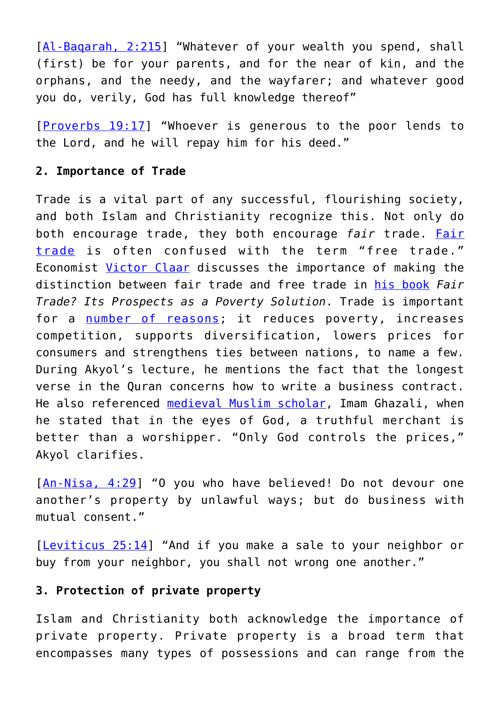[Al-Bagarah, 2:215] "Whatever of your wealth you spend, shall (first) be for your parents, and for the near of kin, and the orphans, and the needy, and the wayfarer; and whatever good you do, verily, God has full knowledge thereof"

[[Proverbs 19:17\]](https://www.biblegateway.com/passage/?search=Proverbs+19%3A17&version=ESV) "Whoever is generous to the poor lends to the Lord, and he will repay him for his deed."

### **2. Importance of Trade**

Trade is a vital part of any successful, flourishing society, and both Islam and Christianity recognize this. Not only do both encourage trade, they both encourage *fair* trade. [Fair](http://blog.acton.org/archives/23185-acton-on-tap-a-christian-economist-clarifies-fair-trade.html) [trade](http://blog.acton.org/archives/23185-acton-on-tap-a-christian-economist-clarifies-fair-trade.html) is often confused with the term "free trade." Economist [Victor Claar](https://www2.fgcu.edu/CoB/6833.asp) discusses the importance of making the distinction between fair trade and free trade in [his book](https://shop.acton.org/fair-trade-it-s-prospects-as-a-poverty-solution.html) *Fair Trade? Its Prospects as a Poverty Solution*. Trade is important for a [number of reasons;](http://trade.ec.europa.eu/doclib/docs/2012/january/tradoc_148991.pdf) it reduces poverty, increases competition, supports diversification, lowers prices for consumers and strengthens ties between nations, to name a few. During Akyol's lecture, he mentions the fact that the longest verse in the Quran concerns how to write a business contract. He also referenced [medieval Muslim scholar](https://plato.stanford.edu/entries/al-ghazali/), Imam Ghazali, when he stated that in the eyes of God, a truthful merchant is better than a worshipper. "Only God controls the prices," Akyol clarifies.

[[An-Nisa, 4:29\]](http://islamicstudies.info/reference.php?sura=4&verse=29) "O you who have believed! Do not devour one another's property by unlawful ways; but do business with mutual consent."

[[Leviticus 25:14\]](https://www.biblegateway.com/passage/?search=Leviticus+25%3A14&version=ESV) "And if you make a sale to your neighbor or buy from your neighbor, you shall not wrong one another."

#### **3. Protection of private property**

Islam and Christianity both acknowledge the importance of private property. Private property is a broad term that encompasses many types of possessions and can range from the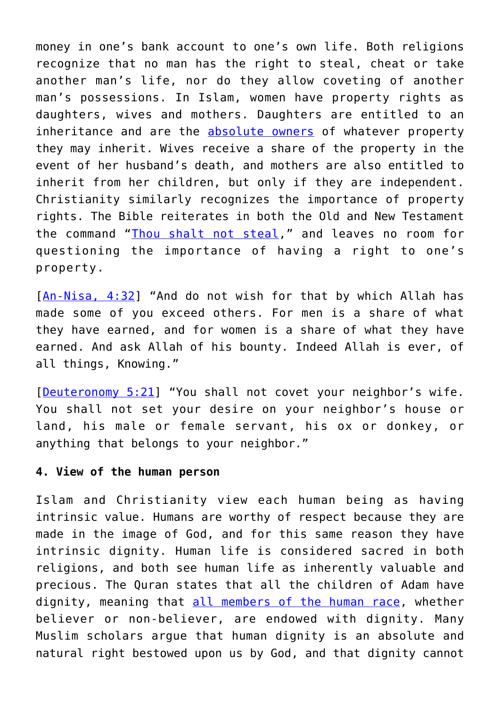money in one's bank account to one's own life. Both religions recognize that no man has the right to steal, cheat or take another man's life, nor do they allow coveting of another man's possessions. In Islam, women have property rights as daughters, wives and mothers. Daughters are entitled to an inheritance and are the [absolute owners](https://www.makaan.com/iq/legal-taxes-laws/examining-a-muslim-womans-right-to-property) of whatever property they may inherit. Wives receive a share of the property in the event of her husband's death, and mothers are also entitled to inherit from her children, but only if they are independent. Christianity similarly recognizes the importance of property rights. The Bible reiterates in both the Old and New Testament the command "[Thou shalt not steal](https://tifwe.org/private-property-in-the-old-testament-new-testament/)," and leaves no room for questioning the importance of having a right to one's property.

[[An-Nisa, 4:32\]](https://quran.com/4/29-39?translations=20) "And do not wish for that by which Allah has made some of you exceed others. For men is a share of what they have earned, and for women is a share of what they have earned. And ask Allah of his bounty. Indeed Allah is ever, of all things, Knowing."

[[Deuteronomy 5:21](https://www.biblegateway.com/passage/?search=Deuteronomy+5%3A21&version=NIV)] "You shall not covet your neighbor's wife. You shall not set your desire on your neighbor's house or land, his male or female servant, his ox or donkey, or anything that belongs to your neighbor."

#### **4. View of the human person**

Islam and Christianity view each human being as having intrinsic value. Humans are worthy of respect because they are made in the image of God, and for this same reason they have intrinsic dignity. Human life is considered sacred in both religions, and both see human life as inherently valuable and precious. The Quran states that all the children of Adam have dignity, meaning that [all members of the human race,](http://www.iais.org.my/e/index.php/publications-sp-1447159098/articles/item/36-human-dignity-in-islam.html) whether believer or non-believer, are endowed with dignity. Many Muslim scholars argue that human dignity is an absolute and natural right bestowed upon us by God, and that dignity cannot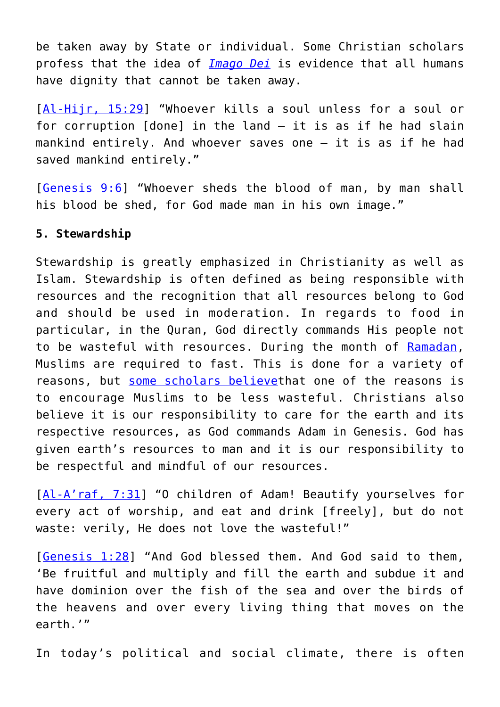be taken away by State or individual. Some Christian scholars profess that the idea of *[Imago Dei](http://www.biblearchaeology.org/post/2013/10/23/A-Biblical-Model-of-Human-Dignity-Based-on-the-Image-of-God-and-the-Incarnation.aspx#Article)* is evidence that all humans have dignity that cannot be taken away.

[[Al-Hijr, 15:29](https://quran.com/15/29)] "Whoever kills a soul unless for a soul or for corruption [done] in the land – it is as if he had slain mankind entirely. And whoever saves one — it is as if he had saved mankind entirely."

[[Genesis 9:6\]](https://www.biblegateway.com/passage/?search=Genesis+9%3A6&version=ESV) "Whoever sheds the blood of man, by man shall his blood be shed, for God made man in his own image."

## **5. Stewardship**

Stewardship is greatly emphasized in Christianity as well as Islam. Stewardship is often defined as being responsible with resources and the recognition that all resources belong to God and should be used in moderation. In regards to food in particular, in the Quran, God directly commands His people not to be wasteful with resources. During the month of [Ramadan,](https://www.history.com/topics/holidays/ramadan) Muslims are required to fast. This is done for a variety of reasons, but [some scholars believe](https://insideislam.wisc.edu/2011/10/fines-for-wasting-food/)that one of the reasons is to encourage Muslims to be less wasteful. Christians also believe it is our responsibility to care for the earth and its respective resources, as God commands Adam in Genesis. God has given earth's resources to man and it is our responsibility to be respectful and mindful of our resources.

[[Al-A'raf, 7:31](https://quran.com/7/31)] "O children of Adam! Beautify yourselves for every act of worship, and eat and drink [freely], but do not waste: verily, He does not love the wasteful!"

[[Genesis 1:28](https://www.biblegateway.com/passage/?search=Genesis+1%3A28&version=ESV)] "And God blessed them. And God said to them, 'Be fruitful and multiply and fill the earth and subdue it and have dominion over the fish of the sea and over the birds of the heavens and over every living thing that moves on the earth.'"

In today's political and social climate, there is often